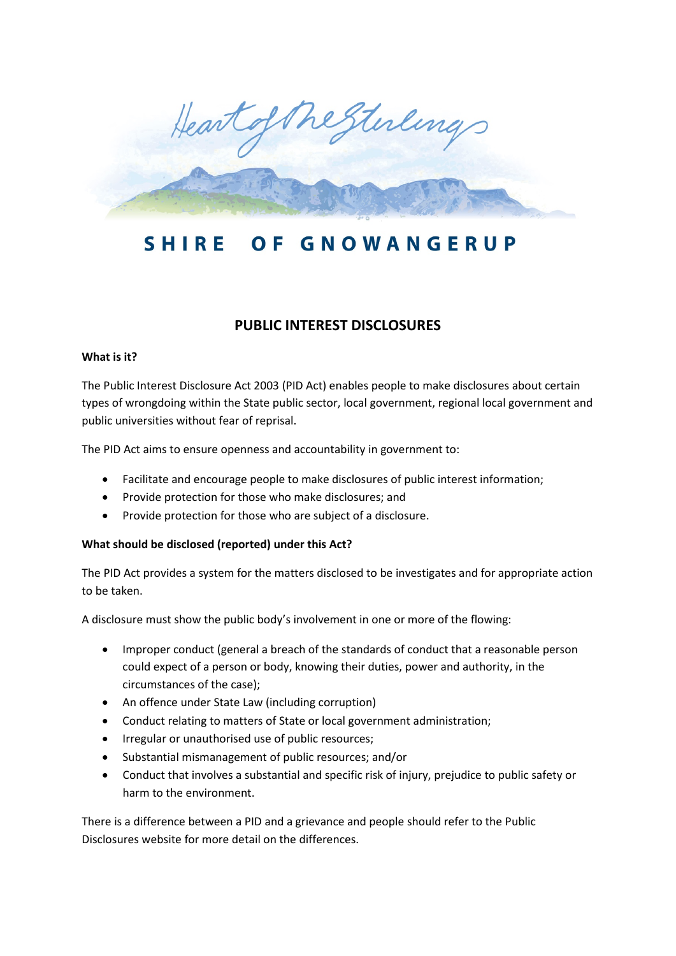

#### **SHIRE** GNOWANGERUP O F

# **PUBLIC INTEREST DISCLOSURES**

### **What is it?**

The Public Interest Disclosure Act 2003 (PID Act) enables people to make disclosures about certain types of wrongdoing within the State public sector, local government, regional local government and public universities without fear of reprisal.

The PID Act aims to ensure openness and accountability in government to:

- Facilitate and encourage people to make disclosures of public interest information;
- Provide protection for those who make disclosures; and
- Provide protection for those who are subject of a disclosure.

# **What should be disclosed (reported) under this Act?**

The PID Act provides a system for the matters disclosed to be investigates and for appropriate action to be taken.

A disclosure must show the public body's involvement in one or more of the flowing:

- Improper conduct (general a breach of the standards of conduct that a reasonable person could expect of a person or body, knowing their duties, power and authority, in the circumstances of the case);
- An offence under State Law (including corruption)
- Conduct relating to matters of State or local government administration;
- Irregular or unauthorised use of public resources;
- Substantial mismanagement of public resources; and/or
- Conduct that involves a substantial and specific risk of injury, prejudice to public safety or harm to the environment.

There is a difference between a PID and a grievance and people should refer to the Public Disclosures website for more detail on the differences.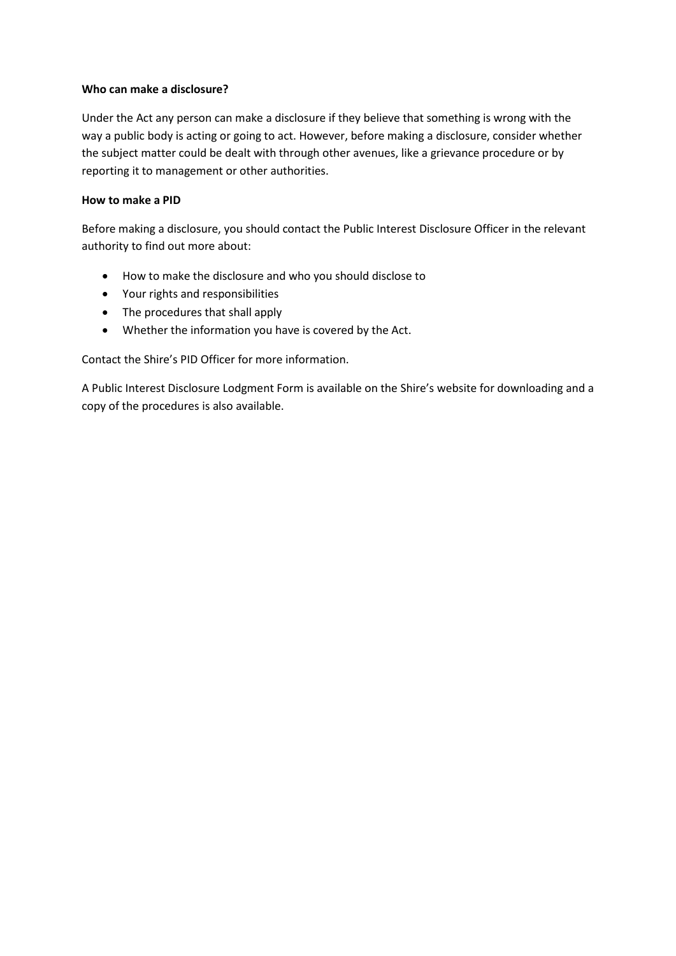#### **Who can make a disclosure?**

Under the Act any person can make a disclosure if they believe that something is wrong with the way a public body is acting or going to act. However, before making a disclosure, consider whether the subject matter could be dealt with through other avenues, like a grievance procedure or by reporting it to management or other authorities.

### **How to make a PID**

Before making a disclosure, you should contact the Public Interest Disclosure Officer in the relevant authority to find out more about:

- How to make the disclosure and who you should disclose to
- Your rights and responsibilities
- The procedures that shall apply
- Whether the information you have is covered by the Act.

Contact the Shire's PID Officer for more information.

A Public Interest Disclosure Lodgment Form is available on the Shire's website for downloading and a copy of the procedures is also available.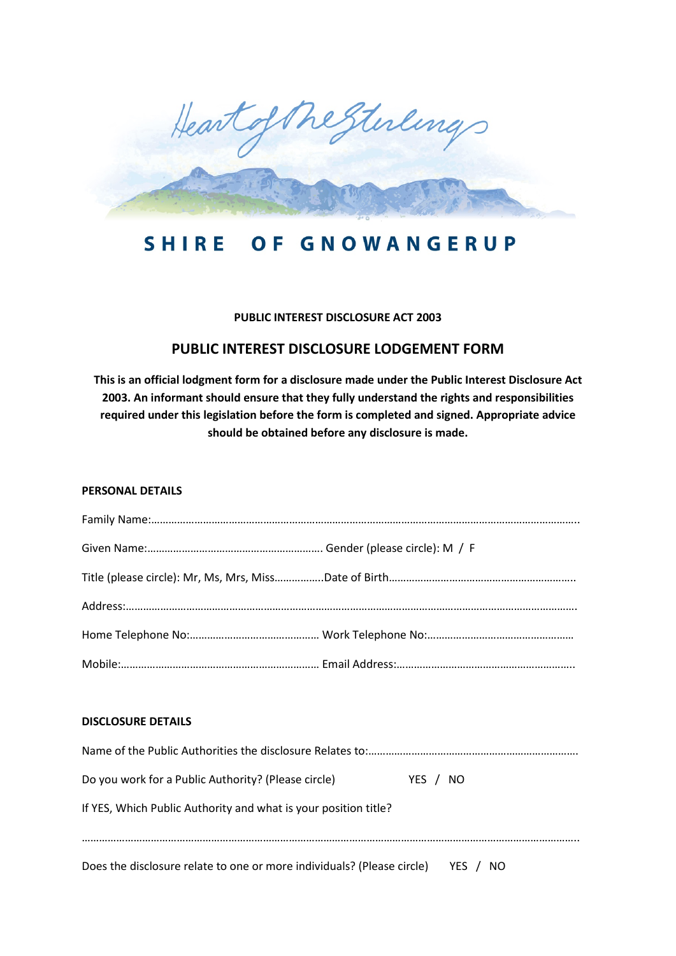

#### **SHIRE** OF GNOWANGERUP

### **PUBLIC INTEREST DISCLOSURE ACT 2003**

# **PUBLIC INTEREST DISCLOSURE LODGEMENT FORM**

**This is an official lodgment form for a disclosure made under the Public Interest Disclosure Act 2003. An informant should ensure that they fully understand the rights and responsibilities required under this legislation before the form is completed and signed. Appropriate advice should be obtained before any disclosure is made.**

#### **PERSONAL DETAILS**

#### **DISCLOSURE DETAILS**

| Do you work for a Public Authority? (Please circle)                    | YES /<br>NO.  |
|------------------------------------------------------------------------|---------------|
| If YES, Which Public Authority and what is your position title?        |               |
| Does the disclosure relate to one or more individuals? (Please circle) | YES /<br>- NO |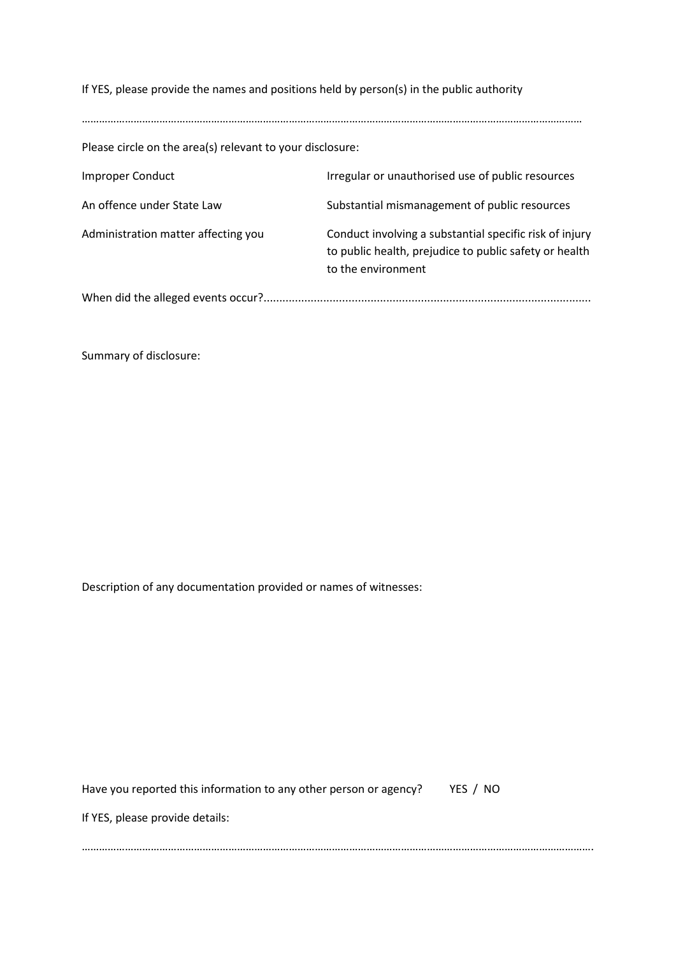If YES, please provide the names and positions held by person(s) in the public authority

Please circle on the area(s) relevant to your disclosure: Improper Conduct **Integular or unauthorised use of public resources** An offence under State Law Substantial mismanagement of public resources Administration matter affecting you **Conduct involving a substantial specific risk of injury** to public health, prejudice to public safety or health to the environment When did the alleged events occur?........................................................................................................

…………………………………………………………………………………………………………………………………………………………

Summary of disclosure:

Description of any documentation provided or names of witnesses:

| Have you reported this information to any other person or agency?<br>YES / NO |  |
|-------------------------------------------------------------------------------|--|
| If YES, please provide details:                                               |  |
|                                                                               |  |